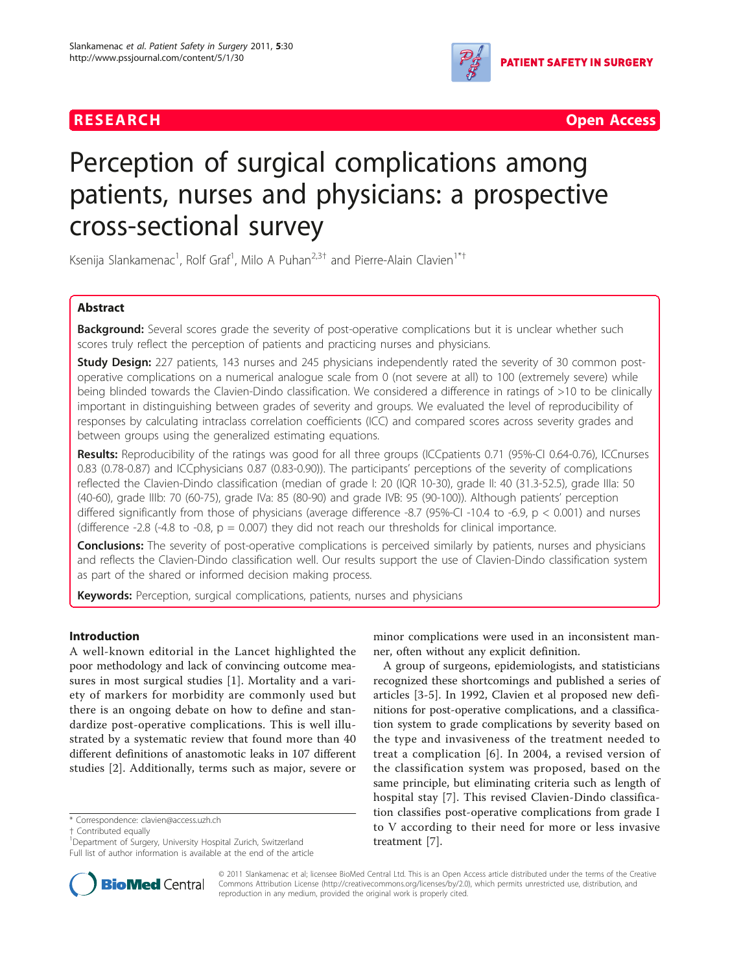



# Perception of surgical complications among patients, nurses and physicians: a prospective cross-sectional survey

Ksenija Slankamenac<sup>1</sup>, Rolf Graf<sup>1</sup>, Milo A Puhan<sup>2,3†</sup> and Pierre-Alain Clavien<sup>1\*†</sup>

# Abstract

Background: Several scores grade the severity of post-operative complications but it is unclear whether such scores truly reflect the perception of patients and practicing nurses and physicians.

**Study Design:** 227 patients, 143 nurses and 245 physicians independently rated the severity of 30 common postoperative complications on a numerical analogue scale from 0 (not severe at all) to 100 (extremely severe) while being blinded towards the Clavien-Dindo classification. We considered a difference in ratings of >10 to be clinically important in distinguishing between grades of severity and groups. We evaluated the level of reproducibility of responses by calculating intraclass correlation coefficients (ICC) and compared scores across severity grades and between groups using the generalized estimating equations.

Results: Reproducibility of the ratings was good for all three groups (ICCpatients 0.71 (95%-CI 0.64-0.76), ICCnurses 0.83 (0.78-0.87) and ICCphysicians 0.87 (0.83-0.90)). The participants' perceptions of the severity of complications reflected the Clavien-Dindo classification (median of grade I: 20 (IQR 10-30), grade II: 40 (31.3-52.5), grade IIIa: 50 (40-60), grade IIIb: 70 (60-75), grade IVa: 85 (80-90) and grade IVB: 95 (90-100)). Although patients' perception differed significantly from those of physicians (average difference -8.7 (95%-CI -10.4 to -6.9, p < 0.001) and nurses (difference -2.8 (-4.8 to -0.8,  $p = 0.007$ ) they did not reach our thresholds for clinical importance.

**Conclusions:** The severity of post-operative complications is perceived similarly by patients, nurses and physicians and reflects the Clavien-Dindo classification well. Our results support the use of Clavien-Dindo classification system as part of the shared or informed decision making process.

Keywords: Perception, surgical complications, patients, nurses and physicians

# Introduction

A well-known editorial in the Lancet highlighted the poor methodology and lack of convincing outcome measures in most surgical studies [\[1](#page-6-0)]. Mortality and a variety of markers for morbidity are commonly used but there is an ongoing debate on how to define and standardize post-operative complications. This is well illustrated by a systematic review that found more than 40 different definitions of anastomotic leaks in 107 different studies [[2\]](#page-6-0). Additionally, terms such as major, severe or

† Contributed equally <sup>1</sup>

<sup>1</sup>Department of Surgery, University Hospital Zurich, Switzerland Full list of author information is available at the end of the article



A group of surgeons, epidemiologists, and statisticians recognized these shortcomings and published a series of articles [[3-](#page-6-0)[5\]](#page-7-0). In 1992, Clavien et al proposed new definitions for post-operative complications, and a classification system to grade complications by severity based on the type and invasiveness of the treatment needed to treat a complication [[6\]](#page-7-0). In 2004, a revised version of the classification system was proposed, based on the same principle, but eliminating criteria such as length of hospital stay [\[7](#page-7-0)]. This revised Clavien-Dindo classification classifies post-operative complications from grade I to V according to their need for more or less invasive treatment [[7\]](#page-7-0).



© 2011 Slankamenac et al; licensee BioMed Central Ltd. This is an Open Access article distributed under the terms of the Creative Commons Attribution License [\(http://creativecommons.org/licenses/by/2.0](http://creativecommons.org/licenses/by/2.0)), which permits unrestricted use, distribution, and reproduction in any medium, provided the original work is properly cited.

<sup>\*</sup> Correspondence: [clavien@access.uzh.ch](mailto:clavien@access.uzh.ch)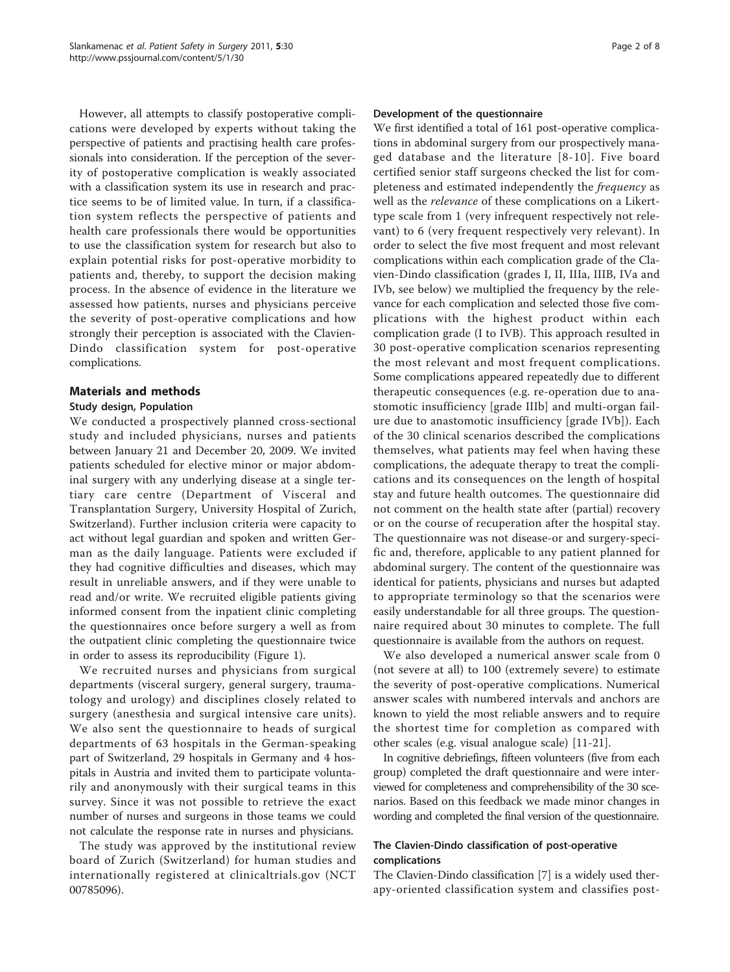However, all attempts to classify postoperative complications were developed by experts without taking the perspective of patients and practising health care professionals into consideration. If the perception of the severity of postoperative complication is weakly associated with a classification system its use in research and practice seems to be of limited value. In turn, if a classification system reflects the perspective of patients and health care professionals there would be opportunities to use the classification system for research but also to explain potential risks for post-operative morbidity to patients and, thereby, to support the decision making process. In the absence of evidence in the literature we assessed how patients, nurses and physicians perceive the severity of post-operative complications and how strongly their perception is associated with the Clavien-Dindo classification system for post-operative complications.

# Materials and methods

## Study design, Population

We conducted a prospectively planned cross-sectional study and included physicians, nurses and patients between January 21 and December 20, 2009. We invited patients scheduled for elective minor or major abdominal surgery with any underlying disease at a single tertiary care centre (Department of Visceral and Transplantation Surgery, University Hospital of Zurich, Switzerland). Further inclusion criteria were capacity to act without legal guardian and spoken and written German as the daily language. Patients were excluded if they had cognitive difficulties and diseases, which may result in unreliable answers, and if they were unable to read and/or write. We recruited eligible patients giving informed consent from the inpatient clinic completing the questionnaires once before surgery a well as from the outpatient clinic completing the questionnaire twice in order to assess its reproducibility (Figure [1](#page-2-0)).

We recruited nurses and physicians from surgical departments (visceral surgery, general surgery, traumatology and urology) and disciplines closely related to surgery (anesthesia and surgical intensive care units). We also sent the questionnaire to heads of surgical departments of 63 hospitals in the German-speaking part of Switzerland, 29 hospitals in Germany and 4 hospitals in Austria and invited them to participate voluntarily and anonymously with their surgical teams in this survey. Since it was not possible to retrieve the exact number of nurses and surgeons in those teams we could not calculate the response rate in nurses and physicians.

The study was approved by the institutional review board of Zurich (Switzerland) for human studies and internationally registered at clinicaltrials.gov (NCT 00785096).

#### Development of the questionnaire

We first identified a total of 161 post-operative complications in abdominal surgery from our prospectively managed database and the literature [[8](#page-7-0)-[10](#page-7-0)]. Five board certified senior staff surgeons checked the list for completeness and estimated independently the *frequency* as well as the relevance of these complications on a Likerttype scale from 1 (very infrequent respectively not relevant) to 6 (very frequent respectively very relevant). In order to select the five most frequent and most relevant complications within each complication grade of the Clavien-Dindo classification (grades I, II, IIIa, IIIB, IVa and IVb, see below) we multiplied the frequency by the relevance for each complication and selected those five complications with the highest product within each complication grade (I to IVB). This approach resulted in 30 post-operative complication scenarios representing the most relevant and most frequent complications. Some complications appeared repeatedly due to different therapeutic consequences (e.g. re-operation due to anastomotic insufficiency [grade IIIb] and multi-organ failure due to anastomotic insufficiency [grade IVb]). Each of the 30 clinical scenarios described the complications themselves, what patients may feel when having these complications, the adequate therapy to treat the complications and its consequences on the length of hospital stay and future health outcomes. The questionnaire did not comment on the health state after (partial) recovery or on the course of recuperation after the hospital stay. The questionnaire was not disease-or and surgery-specific and, therefore, applicable to any patient planned for abdominal surgery. The content of the questionnaire was identical for patients, physicians and nurses but adapted to appropriate terminology so that the scenarios were easily understandable for all three groups. The questionnaire required about 30 minutes to complete. The full questionnaire is available from the authors on request.

We also developed a numerical answer scale from 0 (not severe at all) to 100 (extremely severe) to estimate the severity of post-operative complications. Numerical answer scales with numbered intervals and anchors are known to yield the most reliable answers and to require the shortest time for completion as compared with other scales (e.g. visual analogue scale) [\[11](#page-7-0)-[21](#page-7-0)].

In cognitive debriefings, fifteen volunteers (five from each group) completed the draft questionnaire and were interviewed for completeness and comprehensibility of the 30 scenarios. Based on this feedback we made minor changes in wording and completed the final version of the questionnaire.

## The Clavien-Dindo classification of post-operative complications

The Clavien-Dindo classification [\[7\]](#page-7-0) is a widely used therapy-oriented classification system and classifies post-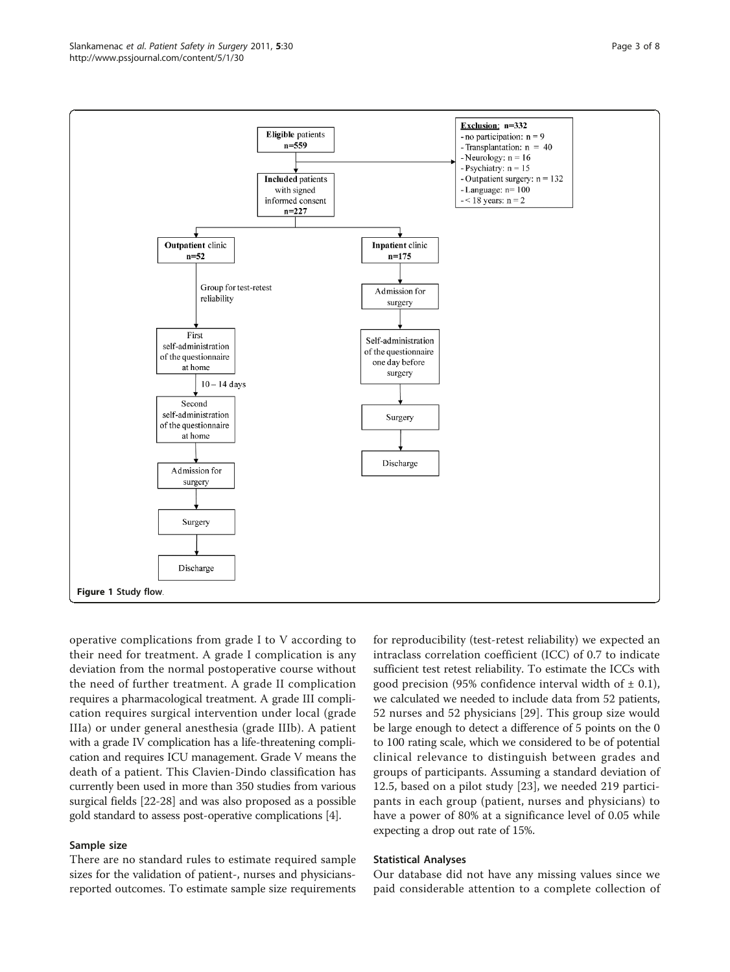<span id="page-2-0"></span>

operative complications from grade I to V according to their need for treatment. A grade I complication is any deviation from the normal postoperative course without the need of further treatment. A grade II complication requires a pharmacological treatment. A grade III complication requires surgical intervention under local (grade IIIa) or under general anesthesia (grade IIIb). A patient with a grade IV complication has a life-threatening complication and requires ICU management. Grade V means the death of a patient. This Clavien-Dindo classification has currently been used in more than 350 studies from various surgical fields [\[22](#page-7-0)-[28](#page-7-0)] and was also proposed as a possible gold standard to assess post-operative complications [[4\]](#page-6-0).

## Sample size

There are no standard rules to estimate required sample sizes for the validation of patient-, nurses and physiciansreported outcomes. To estimate sample size requirements

for reproducibility (test-retest reliability) we expected an intraclass correlation coefficient (ICC) of 0.7 to indicate sufficient test retest reliability. To estimate the ICCs with good precision (95% confidence interval width of  $\pm$  0.1), we calculated we needed to include data from 52 patients, 52 nurses and 52 physicians [[29\]](#page-7-0). This group size would be large enough to detect a difference of 5 points on the 0 to 100 rating scale, which we considered to be of potential clinical relevance to distinguish between grades and groups of participants. Assuming a standard deviation of 12.5, based on a pilot study [\[23](#page-7-0)], we needed 219 participants in each group (patient, nurses and physicians) to have a power of 80% at a significance level of 0.05 while expecting a drop out rate of 15%.

## Statistical Analyses

Our database did not have any missing values since we paid considerable attention to a complete collection of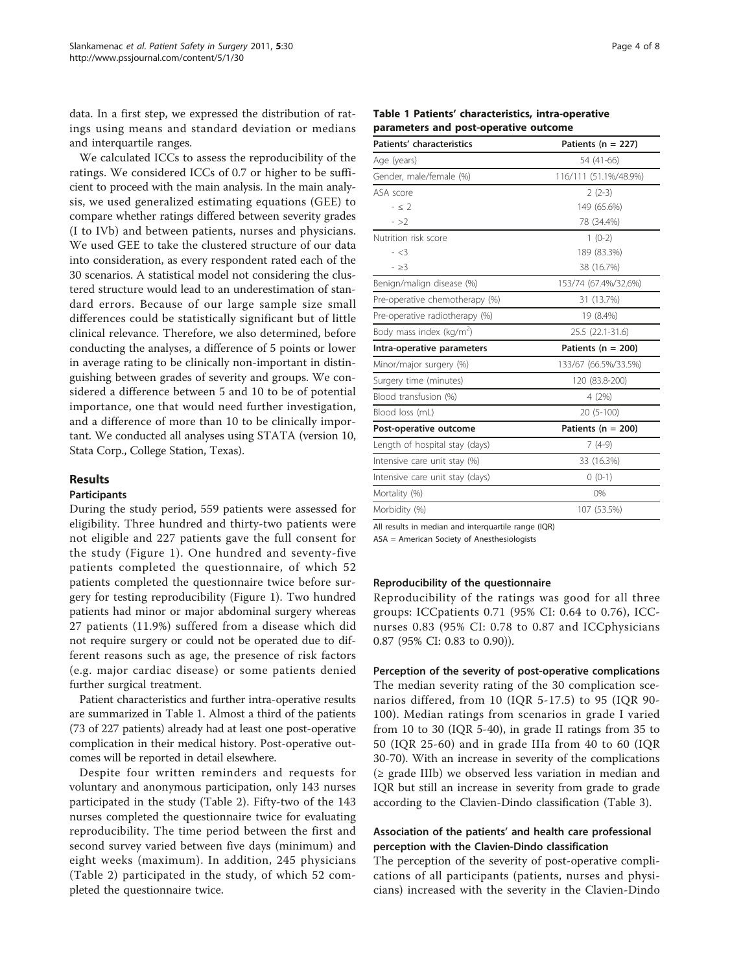data. In a first step, we expressed the distribution of ratings using means and standard deviation or medians and interquartile ranges.

We calculated ICCs to assess the reproducibility of the ratings. We considered ICCs of 0.7 or higher to be sufficient to proceed with the main analysis. In the main analysis, we used generalized estimating equations (GEE) to compare whether ratings differed between severity grades (I to IVb) and between patients, nurses and physicians. We used GEE to take the clustered structure of our data into consideration, as every respondent rated each of the 30 scenarios. A statistical model not considering the clustered structure would lead to an underestimation of standard errors. Because of our large sample size small differences could be statistically significant but of little clinical relevance. Therefore, we also determined, before conducting the analyses, a difference of 5 points or lower in average rating to be clinically non-important in distinguishing between grades of severity and groups. We considered a difference between 5 and 10 to be of potential importance, one that would need further investigation, and a difference of more than 10 to be clinically important. We conducted all analyses using STATA (version 10, Stata Corp., College Station, Texas).

## Results

## **Participants**

During the study period, 559 patients were assessed for eligibility. Three hundred and thirty-two patients were not eligible and 227 patients gave the full consent for the study (Figure [1\)](#page-2-0). One hundred and seventy-five patients completed the questionnaire, of which 52 patients completed the questionnaire twice before surgery for testing reproducibility (Figure [1](#page-2-0)). Two hundred patients had minor or major abdominal surgery whereas 27 patients (11.9%) suffered from a disease which did not require surgery or could not be operated due to different reasons such as age, the presence of risk factors (e.g. major cardiac disease) or some patients denied further surgical treatment.

Patient characteristics and further intra-operative results are summarized in Table 1. Almost a third of the patients (73 of 227 patients) already had at least one post-operative complication in their medical history. Post-operative outcomes will be reported in detail elsewhere.

Despite four written reminders and requests for voluntary and anonymous participation, only 143 nurses participated in the study (Table [2\)](#page-4-0). Fifty-two of the 143 nurses completed the questionnaire twice for evaluating reproducibility. The time period between the first and second survey varied between five days (minimum) and eight weeks (maximum). In addition, 245 physicians (Table [2](#page-4-0)) participated in the study, of which 52 completed the questionnaire twice.

| Page 4 of 8 |  |  |  |
|-------------|--|--|--|
|-------------|--|--|--|

|  |                                       | Table 1 Patients' characteristics, intra-operative |
|--|---------------------------------------|----------------------------------------------------|
|  | parameters and post-operative outcome |                                                    |

| <b>Patients' characteristics</b>     | Patients ( $n = 227$ ) |  |  |
|--------------------------------------|------------------------|--|--|
| Age (years)                          | 54 (41-66)             |  |  |
| Gender, male/female (%)              | 116/111 (51.1%/48.9%)  |  |  |
| ASA score                            | $2(2-3)$               |  |  |
| $-52$                                | 149 (65.6%)            |  |  |
| $-52$                                | 78 (34.4%)             |  |  |
| Nutrition risk score                 | $1(0-2)$               |  |  |
| $- < 3$                              | 189 (83.3%)            |  |  |
| $-23$                                | 38 (16.7%)             |  |  |
| Benign/malign disease (%)            | 153/74 (67.4%/32.6%)   |  |  |
| Pre-operative chemotherapy (%)       | 31 (13.7%)             |  |  |
| Pre-operative radiotherapy (%)       | 19 (8.4%)              |  |  |
| Body mass index (kg/m <sup>2</sup> ) | 25.5 (22.1-31.6)       |  |  |
| Intra-operative parameters           | Patients ( $n = 200$ ) |  |  |
| Minor/major surgery (%)              | 133/67 (66.5%/33.5%)   |  |  |
| Surgery time (minutes)               | 120 (83.8-200)         |  |  |
| Blood transfusion (%)                | 4 (2%)                 |  |  |
| Blood loss (mL)                      | $20(5-100)$            |  |  |
| Post-operative outcome               | Patients ( $n = 200$ ) |  |  |
| Length of hospital stay (days)       | $7(4-9)$               |  |  |
| Intensive care unit stay (%)         | 33 (16.3%)             |  |  |
| Intensive care unit stay (days)      | $0(0-1)$               |  |  |
| Mortality (%)                        | 0%                     |  |  |
| Morbidity (%)                        | 107 (53.5%)            |  |  |
|                                      |                        |  |  |

All results in median and interquartile range (IQR) ASA = American Society of Anesthesiologists

## Reproducibility of the questionnaire

Reproducibility of the ratings was good for all three groups: ICCpatients 0.71 (95% CI: 0.64 to 0.76), ICCnurses 0.83 (95% CI: 0.78 to 0.87 and ICCphysicians 0.87 (95% CI: 0.83 to 0.90)).

Perception of the severity of post-operative complications The median severity rating of the 30 complication scenarios differed, from 10 (IQR 5-17.5) to 95 (IQR 90- 100). Median ratings from scenarios in grade I varied from 10 to 30 (IQR 5-40), in grade II ratings from 35 to 50 (IQR 25-60) and in grade IIIa from 40 to 60 (IQR 30-70). With an increase in severity of the complications  $(\geq$  grade IIIb) we observed less variation in median and IQR but still an increase in severity from grade to grade according to the Clavien-Dindo classification (Table [3\)](#page-5-0).

## Association of the patients' and health care professional perception with the Clavien-Dindo classification

The perception of the severity of post-operative complications of all participants (patients, nurses and physicians) increased with the severity in the Clavien-Dindo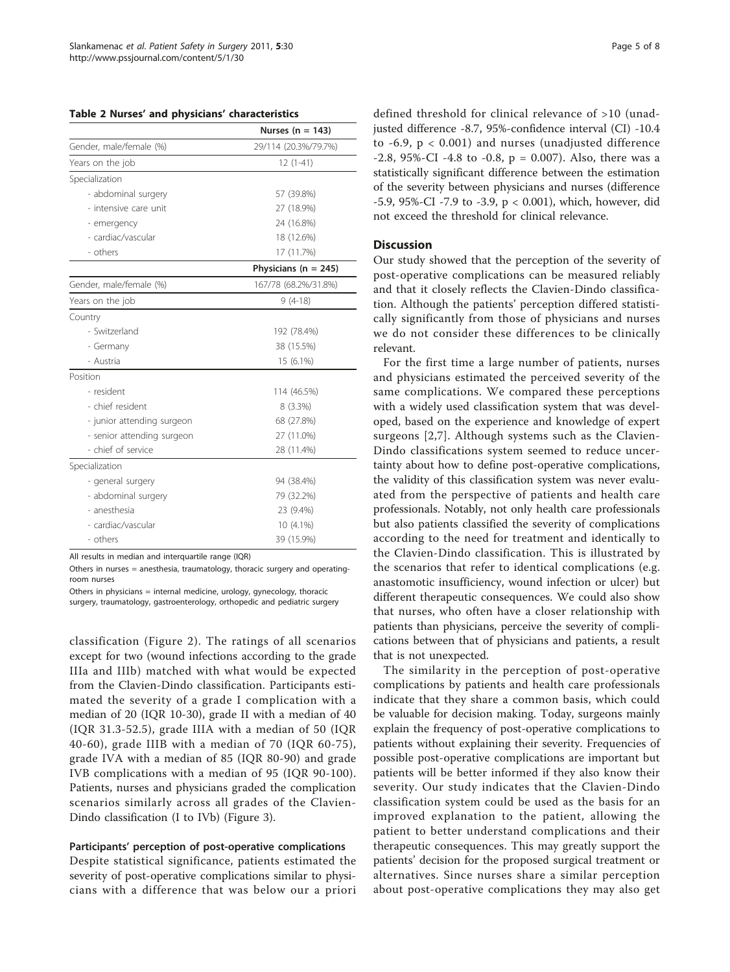<span id="page-4-0"></span>Table 2 Nurses' and physicians' characteristics

|                            | Nurses ( $n = 143$ )     |  |  |
|----------------------------|--------------------------|--|--|
| Gender, male/female (%)    | 29/114 (20.3%/79.7%)     |  |  |
| Years on the job           | $12(1-41)$               |  |  |
| Specialization             |                          |  |  |
| - abdominal surgery        | 57 (39.8%)               |  |  |
| - intensive care unit      | 27 (18.9%)               |  |  |
| - emergency                | 24 (16.8%)               |  |  |
| - cardiac/vascular         | 18 (12.6%)               |  |  |
| - others                   | 17 (11.7%)               |  |  |
|                            | Physicians ( $n = 245$ ) |  |  |
| Gender, male/female (%)    | 167/78 (68.2%/31.8%)     |  |  |
| Years on the job           | $9(4-18)$                |  |  |
| Country                    |                          |  |  |
| - Switzerland              | 192 (78.4%)              |  |  |
| - Germany                  | 38 (15.5%)               |  |  |
| - Austria                  | 15 (6.1%)                |  |  |
| Position                   |                          |  |  |
| - resident                 | 114 (46.5%)              |  |  |
| - chief resident           | $8(3.3\%)$               |  |  |
| - junior attending surgeon | 68 (27.8%)               |  |  |
| - senior attending surgeon | 27 (11.0%)               |  |  |
| - chief of service         | 28 (11.4%)               |  |  |
| Specialization             |                          |  |  |
| - general surgery          | 94 (38.4%)               |  |  |
| - abdominal surgery        | 79 (32.2%)               |  |  |
| - anesthesia               | 23 (9.4%)                |  |  |
| - cardiac/vascular         | 10 (4.1%)                |  |  |
| - others                   | 39 (15.9%)               |  |  |

All results in median and interquartile range (IQR)

Others in nurses = anesthesia, traumatology, thoracic surgery and operatingroom nurses

Others in physicians = internal medicine, urology, gynecology, thoracic surgery, traumatology, gastroenterology, orthopedic and pediatric surgery

classification (Figure [2](#page-6-0)). The ratings of all scenarios except for two (wound infections according to the grade IIIa and IIIb) matched with what would be expected from the Clavien-Dindo classification. Participants estimated the severity of a grade I complication with a median of 20 (IQR 10-30), grade II with a median of 40 (IQR 31.3-52.5), grade IIIA with a median of 50 (IQR 40-60), grade IIIB with a median of 70 (IQR 60-75), grade IVA with a median of 85 (IQR 80-90) and grade IVB complications with a median of 95 (IQR 90-100). Patients, nurses and physicians graded the complication scenarios similarly across all grades of the Clavien-Dindo classification (I to IVb) (Figure [3\)](#page-6-0).

## Participants' perception of post-operative complications

Despite statistical significance, patients estimated the severity of post-operative complications similar to physicians with a difference that was below our a priori defined threshold for clinical relevance of >10 (unadjusted difference -8.7, 95%-confidence interval (CI) -10.4 to -6.9, p < 0.001) and nurses (unadjusted difference  $-2.8$ , 95%-CI  $-4.8$  to  $-0.8$ , p = 0.007). Also, there was a statistically significant difference between the estimation of the severity between physicians and nurses (difference -5.9, 95%-CI -7.9 to -3.9, p < 0.001), which, however, did not exceed the threshold for clinical relevance.

## **Discussion**

Our study showed that the perception of the severity of post-operative complications can be measured reliably and that it closely reflects the Clavien-Dindo classification. Although the patients' perception differed statistically significantly from those of physicians and nurses we do not consider these differences to be clinically relevant.

For the first time a large number of patients, nurses and physicians estimated the perceived severity of the same complications. We compared these perceptions with a widely used classification system that was developed, based on the experience and knowledge of expert surgeons [\[2](#page-6-0),[7\]](#page-7-0). Although systems such as the Clavien-Dindo classifications system seemed to reduce uncertainty about how to define post-operative complications, the validity of this classification system was never evaluated from the perspective of patients and health care professionals. Notably, not only health care professionals but also patients classified the severity of complications according to the need for treatment and identically to the Clavien-Dindo classification. This is illustrated by the scenarios that refer to identical complications (e.g. anastomotic insufficiency, wound infection or ulcer) but different therapeutic consequences. We could also show that nurses, who often have a closer relationship with patients than physicians, perceive the severity of complications between that of physicians and patients, a result that is not unexpected.

The similarity in the perception of post-operative complications by patients and health care professionals indicate that they share a common basis, which could be valuable for decision making. Today, surgeons mainly explain the frequency of post-operative complications to patients without explaining their severity. Frequencies of possible post-operative complications are important but patients will be better informed if they also know their severity. Our study indicates that the Clavien-Dindo classification system could be used as the basis for an improved explanation to the patient, allowing the patient to better understand complications and their therapeutic consequences. This may greatly support the patients' decision for the proposed surgical treatment or alternatives. Since nurses share a similar perception about post-operative complications they may also get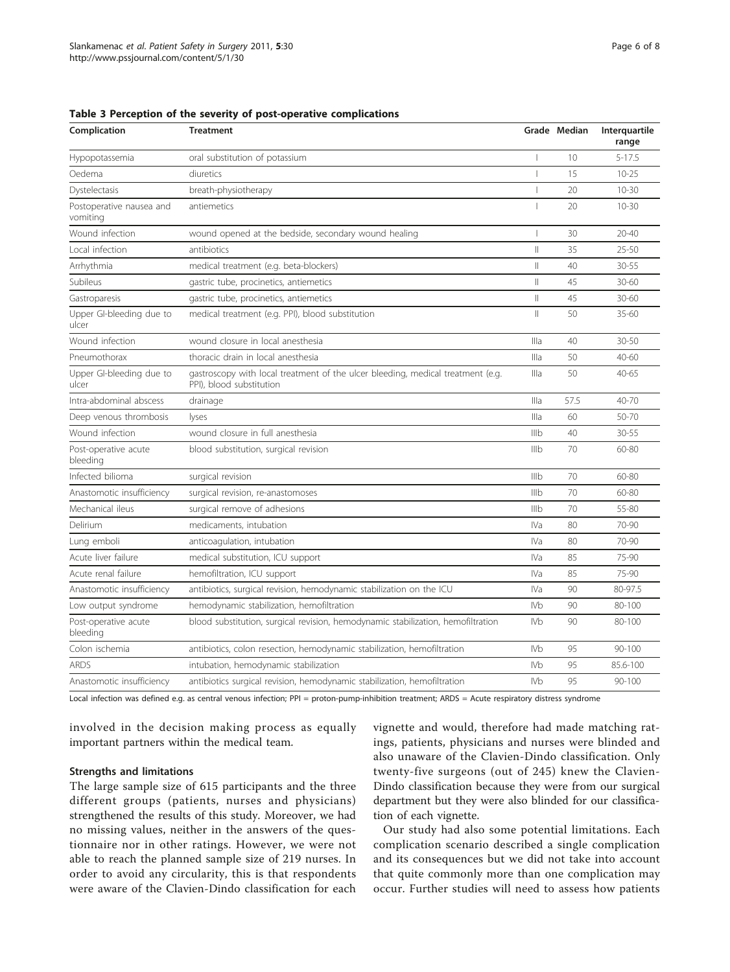| Complication                         | <b>Treatment</b>                                                                                            |                 | Grade Median | Interguartile<br>range |
|--------------------------------------|-------------------------------------------------------------------------------------------------------------|-----------------|--------------|------------------------|
| Hypopotassemia                       | oral substitution of potassium                                                                              |                 | 10           | $5 - 17.5$             |
| Oedema                               | diuretics                                                                                                   | $\mathbf{I}$    | 15           | $10 - 25$              |
| Dystelectasis                        | breath-physiotherapy                                                                                        |                 | 20           | $10 - 30$              |
| Postoperative nausea and<br>vomiting | antiemetics                                                                                                 |                 | 20           | $10 - 30$              |
| Wound infection                      | wound opened at the bedside, secondary wound healing                                                        | -1              | 30           | $20 - 40$              |
| Local infection                      | antibiotics                                                                                                 | $\parallel$     | 35           | $25 - 50$              |
| Arrhythmia                           | medical treatment (e.g. beta-blockers)                                                                      | $\parallel$     | 40           | 30-55                  |
| Subileus                             | gastric tube, procinetics, antiemetics                                                                      | $\parallel$     | 45           | 30-60                  |
| Gastroparesis                        | gastric tube, procinetics, antiemetics                                                                      | $\vert\vert$    | 45           | 30-60                  |
| Upper GI-bleeding due to<br>ulcer    | medical treatment (e.g. PPI), blood substitution                                                            | $\parallel$     | 50           | $35 - 60$              |
| Wound infection                      | wound closure in local anesthesia                                                                           | Illa            | 40           | $30 - 50$              |
| Pneumothorax                         | thoracic drain in local anesthesia                                                                          | Illa            | 50           | $40 - 60$              |
| Upper GI-bleeding due to<br>ulcer    | gastroscopy with local treatment of the ulcer bleeding, medical treatment (e.g.<br>PPI), blood substitution | Illa            | 50           | $40 - 65$              |
| Intra-abdominal abscess              | drainage                                                                                                    | Illa            | 57.5         | $40 - 70$              |
| Deep venous thrombosis               | lyses                                                                                                       | Illa            | 60           | 50-70                  |
| Wound infection                      | wound closure in full anesthesia                                                                            | IIIb            | 40           | 30-55                  |
| Post-operative acute<br>bleeding     | blood substitution, surgical revision                                                                       | IIIb            | 70           | 60-80                  |
| Infected bilioma                     | surgical revision                                                                                           | Illb            | 70           | 60-80                  |
| Anastomotic insufficiency            | surgical revision, re-anastomoses                                                                           | Illb            | 70           | 60-80                  |
| Mechanical ileus                     | surgical remove of adhesions                                                                                | Illb            | 70           | 55-80                  |
| Delirium                             | medicaments, intubation                                                                                     | IVa             | 80           | $70-90$                |
| Lung emboli                          | anticoaqulation, intubation                                                                                 | IVa             | 80           | 70-90                  |
| Acute liver failure                  | medical substitution, ICU support                                                                           | IVa             | 85           | 75-90                  |
| Acute renal failure                  | hemofiltration, ICU support                                                                                 | IVa             | 85           | 75-90                  |
| Anastomotic insufficiency            | antibiotics, surgical revision, hemodynamic stabilization on the ICU                                        | IVa             | 90           | 80-97.5                |
| Low output syndrome                  | hemodynamic stabilization, hemofiltration                                                                   | IV <sub>b</sub> | 90           | 80-100                 |
| Post-operative acute<br>bleeding     | blood substitution, surgical revision, hemodynamic stabilization, hemofiltration                            | <b>IVb</b>      | 90           | $80 - 100$             |
| Colon ischemia                       | antibiotics, colon resection, hemodynamic stabilization, hemofiltration                                     | IV <sub>b</sub> | 95           | $90 - 100$             |
| <b>ARDS</b>                          | intubation, hemodynamic stabilization                                                                       | IV <sub>b</sub> | 95           | 85.6-100               |
| Anastomotic insufficiency            | antibiotics surgical revision, hemodynamic stabilization, hemofiltration                                    | IV <sub>b</sub> | 95           | $90 - 100$             |

#### <span id="page-5-0"></span>Table 3 Perception of the severity of post-operative complications

Local infection was defined e.g. as central venous infection; PPI = proton-pump-inhibition treatment; ARDS = Acute respiratory distress syndrome

involved in the decision making process as equally important partners within the medical team.

## Strengths and limitations

The large sample size of 615 participants and the three different groups (patients, nurses and physicians) strengthened the results of this study. Moreover, we had no missing values, neither in the answers of the questionnaire nor in other ratings. However, we were not able to reach the planned sample size of 219 nurses. In order to avoid any circularity, this is that respondents were aware of the Clavien-Dindo classification for each vignette and would, therefore had made matching ratings, patients, physicians and nurses were blinded and also unaware of the Clavien-Dindo classification. Only twenty-five surgeons (out of 245) knew the Clavien-Dindo classification because they were from our surgical department but they were also blinded for our classification of each vignette.

Our study had also some potential limitations. Each complication scenario described a single complication and its consequences but we did not take into account that quite commonly more than one complication may occur. Further studies will need to assess how patients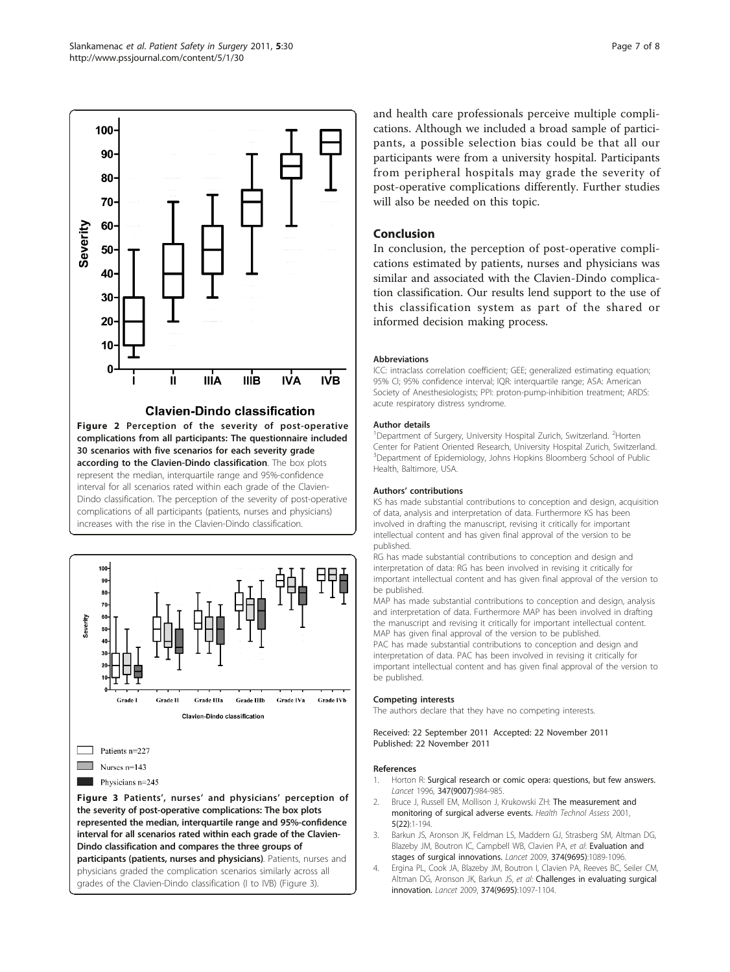<span id="page-6-0"></span>

Figure 2 Perception of the severity of post-operative complications from all participants: The questionnaire included 30 scenarios with five scenarios for each severity grade according to the Clavien-Dindo classification. The box plots represent the median, interquartile range and 95%-confidence interval for all scenarios rated within each grade of the Clavien-Dindo classification. The perception of the severity of post-operative complications of all participants (patients, nurses and physicians) increases with the rise in the Clavien-Dindo classification.



Dindo classification and compares the three groups of participants (patients, nurses and physicians). Patients, nurses and

physicians graded the complication scenarios similarly across all grades of the Clavien-Dindo classification (I to IVB) (Figure 3).

and health care professionals perceive multiple complications. Although we included a broad sample of participants, a possible selection bias could be that all our participants were from a university hospital. Participants from peripheral hospitals may grade the severity of post-operative complications differently. Further studies will also be needed on this topic.

# Conclusion

In conclusion, the perception of post-operative complications estimated by patients, nurses and physicians was similar and associated with the Clavien-Dindo complication classification. Our results lend support to the use of this classification system as part of the shared or informed decision making process.

## Abbreviations

ICC: intraclass correlation coefficient; GEE; generalized estimating equation; 95% CI; 95% confidence interval; IQR: interquartile range; ASA: American Society of Anesthesiologists; PPI: proton-pump-inhibition treatment; ARDS: acute respiratory distress syndrome.

## Author details

<sup>1</sup>Department of Surgery, University Hospital Zurich, Switzerland. <sup>2</sup>Horten Center for Patient Oriented Research, University Hospital Zurich, Switzerland. <sup>3</sup>Department of Epidemiology, Johns Hopkins Bloomberg School of Public Health, Baltimore, USA.

## Authors' contributions

KS has made substantial contributions to conception and design, acquisition of data, analysis and interpretation of data. Furthermore KS has been involved in drafting the manuscript, revising it critically for important intellectual content and has given final approval of the version to be published.

.<br>RG has made substantial contributions to conception and design and interpretation of data: RG has been involved in revising it critically for important intellectual content and has given final approval of the version to be published.

MAP has made substantial contributions to conception and design, analysis and interpretation of data. Furthermore MAP has been involved in drafting the manuscript and revising it critically for important intellectual content. MAP has given final approval of the version to be published. PAC has made substantial contributions to conception and design and interpretation of data. PAC has been involved in revising it critically for important intellectual content and has given final approval of the version to be published.

## Competing interests

The authors declare that they have no competing interests.

Received: 22 September 2011 Accepted: 22 November 2011 Published: 22 November 2011

## References

- Horton R: [Surgical research or comic opera: questions, but few answers.](http://www.ncbi.nlm.nih.gov/pubmed/8606606?dopt=Abstract) Lancet 1996, 347(9007):984-985.
- 2. Bruce J, Russell EM, Mollison J, Krukowski ZH: [The measurement and](http://www.ncbi.nlm.nih.gov/pubmed/12387733?dopt=Abstract) [monitoring of surgical adverse events.](http://www.ncbi.nlm.nih.gov/pubmed/12387733?dopt=Abstract) Health Technol Assess 2001, 5(22):1-194.
- 3. Barkun JS, Aronson JK, Feldman LS, Maddern GJ, Strasberg SM, Altman DG, Blazeby JM, Boutron IC, Campbell WB, Clavien PA, et al: [Evaluation and](http://www.ncbi.nlm.nih.gov/pubmed/19782874?dopt=Abstract) [stages of surgical innovations.](http://www.ncbi.nlm.nih.gov/pubmed/19782874?dopt=Abstract) Lancet 2009, 374(9695):1089-1096.
- 4. Ergina PL, Cook JA, Blazeby JM, Boutron I, Clavien PA, Reeves BC, Seiler CM, Altman DG, Aronson JK, Barkun JS, et al: [Challenges in evaluating surgical](http://www.ncbi.nlm.nih.gov/pubmed/19782875?dopt=Abstract) [innovation.](http://www.ncbi.nlm.nih.gov/pubmed/19782875?dopt=Abstract) Lancet 2009, 374(9695):1097-1104.